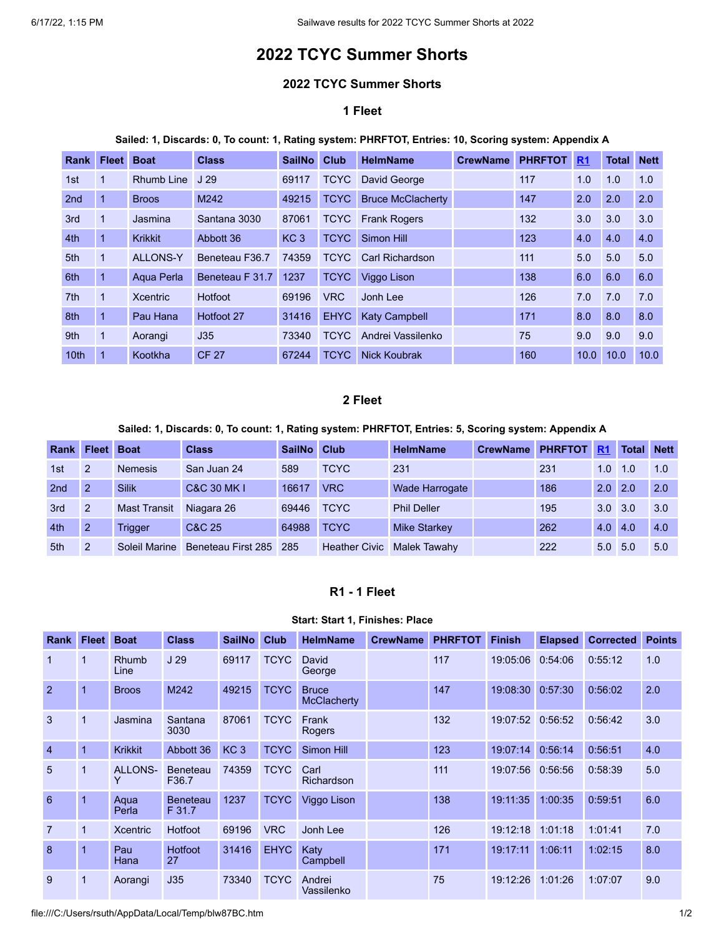# **2022 TCYC Summer Shorts**

### **2022 TCYC Summer Shorts**

# **1 Fleet**

#### **Sailed: 1, Discards: 0, To count: 1, Rating system: PHRFTOT, Entries: 10, Scoring system: Appendix A**

| <b>Rank</b>      | <b>Fleet</b> | <b>Boat</b>       | <b>Class</b>    | <b>SailNo</b>   | Club        | <b>HelmName</b>          | <b>CrewName</b> | <b>PHRFTOT</b> | R <sub>1</sub> | <b>Total</b> | <b>Nett</b> |
|------------------|--------------|-------------------|-----------------|-----------------|-------------|--------------------------|-----------------|----------------|----------------|--------------|-------------|
| 1st              |              | <b>Rhumb Line</b> | J <sub>29</sub> | 69117           | <b>TCYC</b> | David George             |                 | 117            | 1.0            | 1.0          | 1.0         |
| 2 <sub>nd</sub>  | 1            | <b>Broos</b>      | M242            | 49215           | <b>TCYC</b> | <b>Bruce McClacherty</b> |                 | 147            | 2.0            | 2.0          | 2.0         |
| 3rd              | 1            | Jasmina           | Santana 3030    | 87061           | <b>TCYC</b> | <b>Frank Rogers</b>      |                 | 132            | 3.0            | 3.0          | 3.0         |
| 4th              |              | <b>Krikkit</b>    | Abbott 36       | KC <sub>3</sub> | <b>TCYC</b> | Simon Hill               |                 | 123            | 4.0            | 4.0          | 4.0         |
| 5th              | 1            | <b>ALLONS-Y</b>   | Beneteau F36.7  | 74359           | <b>TCYC</b> | <b>Carl Richardson</b>   |                 | 111            | 5.0            | 5.0          | 5.0         |
| 6th              |              | Aqua Perla        | Beneteau F 31.7 | 1237            | <b>TCYC</b> | Viggo Lison              |                 | 138            | 6.0            | 6.0          | 6.0         |
| 7th              | 1            | <b>Xcentric</b>   | Hotfoot         | 69196           | <b>VRC</b>  | Jonh Lee                 |                 | 126            | 7.0            | 7.0          | 7.0         |
| 8th              | $\mathbf{1}$ | Pau Hana          | Hotfoot 27      | 31416           | <b>EHYC</b> | <b>Katy Campbell</b>     |                 | 171            | 8.0            | 8.0          | 8.0         |
| 9th              | $\mathbf{1}$ | Aorangi           | J35             | 73340           | <b>TCYC</b> | Andrei Vassilenko        |                 | 75             | 9.0            | 9.0          | 9.0         |
| 10 <sub>th</sub> |              | Kootkha           | <b>CF 27</b>    | 67244           | <b>TCYC</b> | Nick Koubrak             |                 | 160            | 10.0           | 10.0         | 10.0        |

## **2 Fleet**

## **Sailed: 1, Discards: 0, To count: 1, Rating system: PHRFTOT, Entries: 5, Scoring system: Appendix A**

| Rank            | <b>Fleet</b>  | <b>Boat</b>         | <b>Class</b>           | <b>SailNo</b> | Club                 | <b>HelmName</b>     | <b>CrewName</b> | <b>PHRFTOT</b> | <b>R1</b>        | <b>Total</b> | <b>Nett</b> |
|-----------------|---------------|---------------------|------------------------|---------------|----------------------|---------------------|-----------------|----------------|------------------|--------------|-------------|
| 1st             | $\mathcal{P}$ | <b>Nemesis</b>      | San Juan 24            | 589           | <b>TCYC</b>          | 231                 |                 | 231            | 1.0              | 1.0          | 1.0         |
| 2 <sub>nd</sub> |               | <b>Silik</b>        | <b>C&amp;C 30 MK I</b> | 16617         | <b>VRC</b>           | Wade Harrogate      |                 | 186            | 2.0 <sub>1</sub> | 2.0          | 2.0         |
| 3rd             | $\mathcal{P}$ | <b>Mast Transit</b> | Niagara 26             | 69446         | <b>TCYC</b>          | <b>Phil Deller</b>  |                 | 195            | 3.0 <sub>1</sub> | 3.0          | 3.0         |
| 4th             | $\mathcal{P}$ | Trigger             | C&C 25                 | 64988         | <b>TCYC</b>          | <b>Mike Starkey</b> |                 | 262            | 4.0              | 4.0          | 4.0         |
| 5th             | $\mathcal{P}$ | Soleil Marine       | Beneteau First 285     | 285           | <b>Heather Civic</b> | Malek Tawahy        |                 | 222            | 5.0 <sub>1</sub> | 5.0          | 5.0         |

# **R1 - 1 Fleet**

#### **Start: Start 1, Finishes: Place**

<span id="page-0-0"></span>

| Rank           | <b>Fleet</b> | <b>Boat</b>          | <b>Class</b>              | <b>SailNo</b>   | <b>Club</b> | <b>HelmName</b>                    | <b>CrewName</b> | <b>PHRFTOT</b> | <b>Finish</b>    | <b>Elapsed</b> | <b>Corrected</b> | <b>Points</b> |
|----------------|--------------|----------------------|---------------------------|-----------------|-------------|------------------------------------|-----------------|----------------|------------------|----------------|------------------|---------------|
|                |              | <b>Rhumb</b><br>Line | J <sub>29</sub>           | 69117           | <b>TCYC</b> | David<br>George                    |                 | 117            | 19:05:06         | 0:54:06        | 0:55:12          | 1.0           |
| $\overline{2}$ |              | <b>Broos</b>         | M242                      | 49215           | <b>TCYC</b> | <b>Bruce</b><br><b>McClacherty</b> |                 | 147            | 19:08:30         | 0:57:30        | 0:56:02          | 2.0           |
| 3              |              | Jasmina              | Santana<br>3030           | 87061           | <b>TCYC</b> | Frank<br><b>Rogers</b>             |                 | 132            | 19:07:52         | 0:56:52        | 0:56:42          | 3.0           |
| $\overline{4}$ |              | <b>Krikkit</b>       | Abbott 36                 | KC <sub>3</sub> | <b>TCYC</b> | Simon Hill                         |                 | 123            | 19:07:14         | 0:56:14        | 0:56:51          | 4.0           |
| 5              |              | <b>ALLONS-</b><br>Υ  | <b>Beneteau</b><br>F36.7  | 74359           | <b>TCYC</b> | Carl<br>Richardson                 |                 | 111            | 19:07:56 0:56:56 |                | 0:58:39          | 5.0           |
| 6              |              | Aqua<br>Perla        | <b>Beneteau</b><br>F 31.7 | 1237            | <b>TCYC</b> | Viggo Lison                        |                 | 138            | 19:11:35         | 1:00:35        | 0:59:51          | 6.0           |
| $\overline{7}$ |              | <b>Xcentric</b>      | Hotfoot                   | 69196           | <b>VRC</b>  | Jonh Lee                           |                 | 126            | 19:12:18         | 1:01:18        | 1:01:41          | 7.0           |
| 8              |              | Pau<br>Hana          | <b>Hotfoot</b><br>27      | 31416           | <b>EHYC</b> | Katy<br>Campbell                   |                 | 171            | 19:17:11         | 1:06:11        | 1:02:15          | 8.0           |
| 9              |              | Aorangi              | J35                       | 73340           | <b>TCYC</b> | Andrei<br>Vassilenko               |                 | 75             | 19:12:26         | 1:01:26        | 1:07:07          | 9.0           |

file:///C:/Users/rsuth/AppData/Local/Temp/blw87BC.htm 1/2